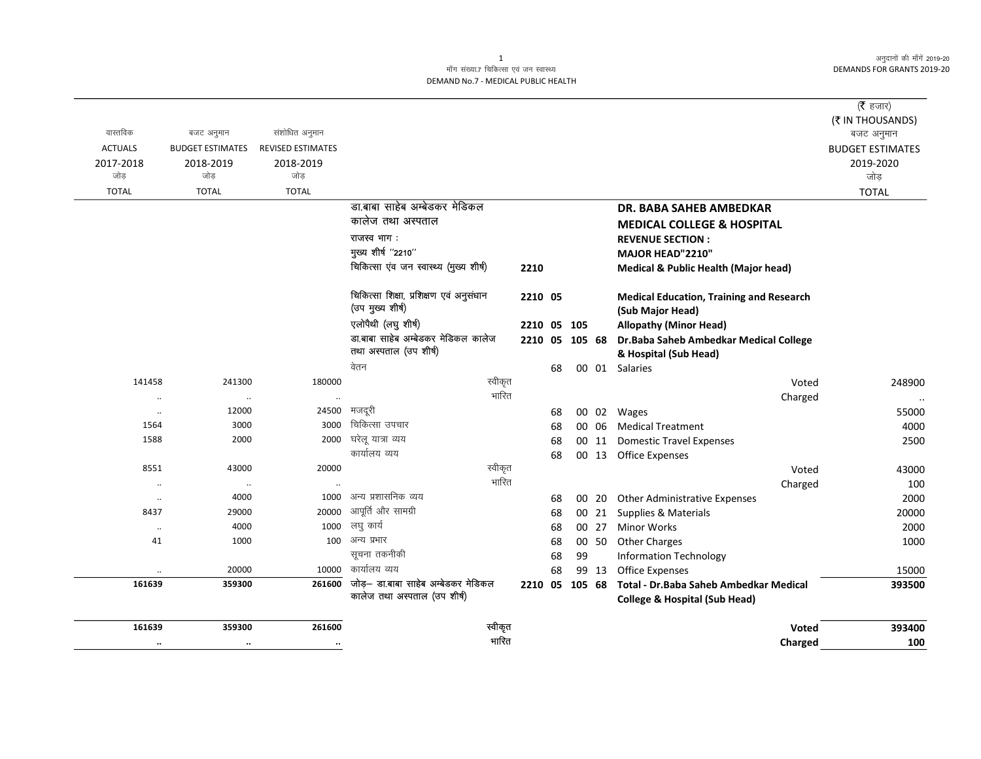अनुदानों की माँगें 2019-20 **DEMANDS FOR GRANTS 2019-20** 

## माँग संख्या.7 चिकित्सा एवं जन स्वास्थ्य DEMAND No.7 - MEDICAL PUBLIC HEALTH

|                      |                         |                          |                                                                     |                |    |                |       |                                                                                     | ( $\bar{\tau}$ हजार)           |
|----------------------|-------------------------|--------------------------|---------------------------------------------------------------------|----------------|----|----------------|-------|-------------------------------------------------------------------------------------|--------------------------------|
| वास्तविक             | बजट अनुमान              | संशोधित अनुमान           |                                                                     |                |    |                |       |                                                                                     | (₹ IN THOUSANDS)<br>बजट अनुमान |
| <b>ACTUALS</b>       | <b>BUDGET ESTIMATES</b> | <b>REVISED ESTIMATES</b> |                                                                     |                |    |                |       |                                                                                     | <b>BUDGET ESTIMATES</b>        |
| 2017-2018            | 2018-2019               | 2018-2019                |                                                                     |                |    |                |       |                                                                                     | 2019-2020                      |
| जोड                  | जोड                     | जोड़                     |                                                                     |                |    |                |       |                                                                                     | जोड़                           |
| <b>TOTAL</b>         | <b>TOTAL</b>            | <b>TOTAL</b>             |                                                                     |                |    |                |       |                                                                                     | <b>TOTAL</b>                   |
|                      |                         |                          | डा.बाबा साहेब अम्बेडकर मेडिकल                                       |                |    |                |       | DR. BABA SAHEB AMBEDKAR                                                             |                                |
|                      |                         |                          | कालेज तथा अस्पताल                                                   |                |    |                |       | <b>MEDICAL COLLEGE &amp; HOSPITAL</b>                                               |                                |
|                      |                         |                          | राजस्व भाग:                                                         |                |    |                |       | <b>REVENUE SECTION:</b>                                                             |                                |
|                      |                         |                          | मुख्य शीर्ष "2210"                                                  |                |    |                |       | MAJOR HEAD"2210"                                                                    |                                |
|                      |                         |                          | चिकित्सा एंव जन स्वास्थ्य (मुख्य शीर्ष)                             | 2210           |    |                |       | <b>Medical &amp; Public Health (Major head)</b>                                     |                                |
|                      |                         |                          | चिकित्सा शिक्षा, प्रशिक्षण एवं अनुसंधान<br>(उप मुख्य शीर्ष)         | 2210 05        |    |                |       | <b>Medical Education, Training and Research</b><br>(Sub Major Head)                 |                                |
|                      |                         |                          | एलोपैथी (लघु शीर्ष)                                                 |                |    | 2210 05 105    |       | <b>Allopathy (Minor Head)</b>                                                       |                                |
|                      |                         |                          | डा.बाबा साहेब अम्बेडकर मेडिकल कालेज                                 |                |    | 2210 05 105 68 |       | Dr. Baba Saheb Ambedkar Medical College                                             |                                |
|                      |                         |                          | तथा अस्पताल (उप शीर्ष)                                              |                |    |                |       | & Hospital (Sub Head)                                                               |                                |
|                      |                         |                          | वेतन                                                                |                | 68 |                |       | 00 01 Salaries                                                                      |                                |
| 141458               | 241300                  | 180000                   | स्वीकृत                                                             |                |    |                |       | Voted                                                                               | 248900                         |
| $\ddot{\phantom{a}}$ | $\ddot{\phantom{a}}$    | $\ddot{\phantom{a}}$     | भारित                                                               |                |    |                |       | Charged                                                                             | $\ddotsc$                      |
| $\ddot{\phantom{a}}$ | 12000                   | 24500                    | मजदूरी                                                              |                | 68 |                |       | 00 02 Wages                                                                         | 55000                          |
| 1564                 | 3000                    | 3000                     | चिकित्सा उपचार                                                      |                | 68 |                | 00 06 | <b>Medical Treatment</b>                                                            | 4000                           |
| 1588                 | 2000                    | 2000                     | घरेलू यात्रा व्यय                                                   |                | 68 |                | 00 11 | <b>Domestic Travel Expenses</b>                                                     | 2500                           |
|                      |                         |                          | कार्यालय व्यय                                                       |                | 68 |                |       | 00 13 Office Expenses                                                               |                                |
| 8551                 | 43000                   | 20000                    | स्वीकृत                                                             |                |    |                |       | Voted                                                                               | 43000                          |
| $\ddot{\phantom{0}}$ | $\ldots$                | $\ddot{\phantom{a}}$     | भारित                                                               |                |    |                |       | Charged                                                                             | 100                            |
| $\ddot{\phantom{a}}$ | 4000                    | 1000                     | अन्य प्रशासनिक व्यय                                                 |                | 68 |                | 00 20 | <b>Other Administrative Expenses</b>                                                | 2000                           |
| 8437                 | 29000                   | 20000                    | आपूर्ति और सामग्री                                                  |                | 68 |                | 00 21 | Supplies & Materials                                                                | 20000                          |
| $\ddot{\phantom{a}}$ | 4000                    | 1000                     | लघु कार्य                                                           |                | 68 |                | 00 27 | <b>Minor Works</b>                                                                  | 2000                           |
| 41                   | 1000                    | 100                      | अन्य प्रभार                                                         |                | 68 |                | 00 50 | <b>Other Charges</b>                                                                | 1000                           |
|                      |                         |                          | सूचना तकनीकी                                                        |                | 68 | 99             |       | <b>Information Technology</b>                                                       |                                |
|                      | 20000                   | 10000                    | कार्यालय व्यय                                                       |                | 68 |                | 99 13 | Office Expenses                                                                     | 15000                          |
| 161639               | 359300                  | 261600                   | जोड़— डा.बाबा साहेब अम्बेडकर मेडिकल<br>कालेज तथा अस्पताल (उप शीर्ष) | 2210 05 105 68 |    |                |       | Total - Dr. Baba Saheb Ambedkar Medical<br><b>College &amp; Hospital (Sub Head)</b> | 393500                         |
| 161639               | 359300                  | 261600                   | स्वीकृत                                                             |                |    |                |       | Voted                                                                               | 393400                         |
| $\cdot\cdot$         | $\cdot\cdot$            | $\cdots$                 | भारित                                                               |                |    |                |       | Charged                                                                             | 100                            |
|                      |                         |                          |                                                                     |                |    |                |       |                                                                                     |                                |

 $\overline{1}$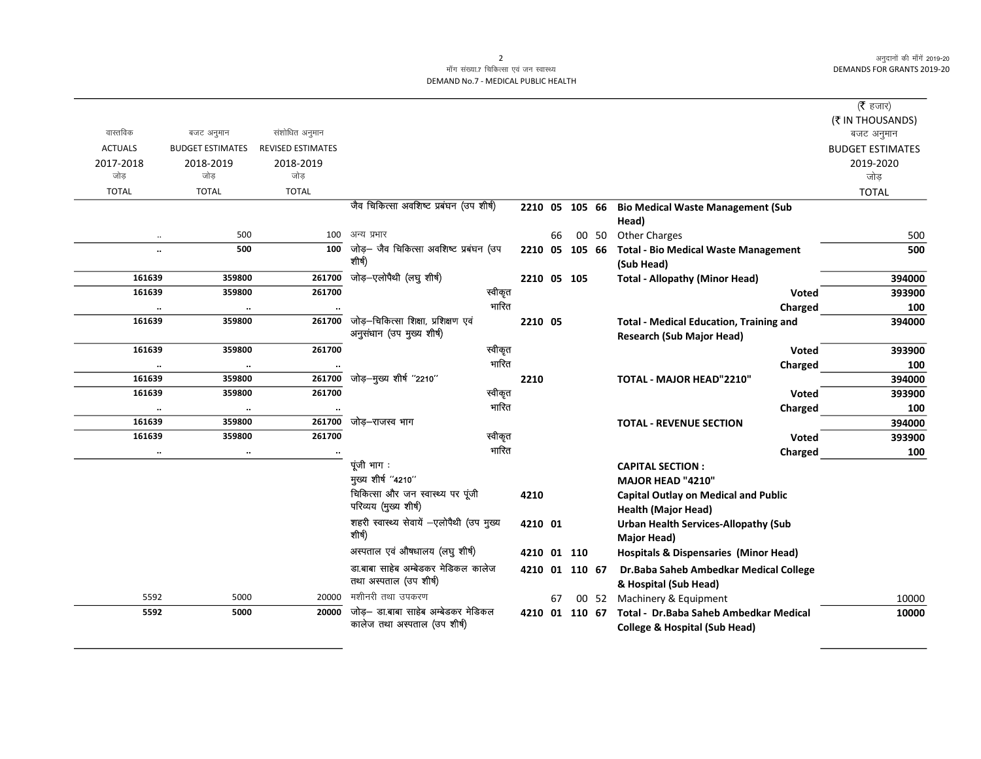अनुदानों की माँगें 2019-20 DEMANDS FOR GRANTS 2019-20

## माँग संख्या.7 चिकित्सा एवं जन स्वास्थ्य DEMAND No.7 - MEDICAL PUBLIC HEALTH

|                      |                         |                          |                                           |      |             |                |                                                           | ( <b>रै</b> हजार)       |
|----------------------|-------------------------|--------------------------|-------------------------------------------|------|-------------|----------------|-----------------------------------------------------------|-------------------------|
|                      |                         |                          |                                           |      |             |                |                                                           | (₹ IN THOUSANDS)        |
| वास्तविक             | बजट अनुमान              | संशोधित अनुमान           |                                           |      |             |                |                                                           | बजट अनुमान              |
| <b>ACTUALS</b>       | <b>BUDGET ESTIMATES</b> | <b>REVISED ESTIMATES</b> |                                           |      |             |                |                                                           | <b>BUDGET ESTIMATES</b> |
| 2017-2018            | 2018-2019               | 2018-2019<br>जोड         |                                           |      |             |                |                                                           | 2019-2020               |
| जोड                  | जोड                     |                          |                                           |      |             |                |                                                           | जोड                     |
| <b>TOTAL</b>         | <b>TOTAL</b>            | <b>TOTAL</b>             | जैव चिकित्सा अवशिष्ट प्रबंघन (उप शीर्ष)   |      |             |                |                                                           | <b>TOTAL</b>            |
|                      |                         |                          |                                           |      |             | 2210 05 105 66 | <b>Bio Medical Waste Management (Sub</b>                  |                         |
|                      | 500                     | 100                      | अन्य प्रभार                               |      |             | 00 50          | Head)                                                     |                         |
| $\ddot{\phantom{a}}$ | 500                     | 100                      | जोड़- जैव चिकित्सा अवशिष्ट प्रबंघन (उप    |      | 66          | 2210 05 105 66 | <b>Other Charges</b>                                      | 500<br>500              |
|                      |                         |                          | शीर्ष)                                    |      |             |                | <b>Total - Bio Medical Waste Management</b><br>(Sub Head) |                         |
| 161639               | 359800                  | 261700                   | जोड़-एलोपैथी (लघु शीर्ष)                  |      | 2210 05 105 |                | <b>Total - Allopathy (Minor Head)</b>                     | 394000                  |
| 161639               | 359800                  | 261700                   | स्वीकृत                                   |      |             |                | Voted                                                     | 393900                  |
| $\ldots$             | $\ddotsc$               |                          | भारित                                     |      |             |                | Charged                                                   | 100                     |
| 161639               | 359800                  | 261700                   | जोड़—चिकित्सा शिक्षा, प्रशिक्षण एवं       |      | 2210 05     |                | <b>Total - Medical Education, Training and</b>            | 394000                  |
|                      |                         |                          | अनुसंधान (उप मुख्य शीर्ष)                 |      |             |                | <b>Research (Sub Major Head)</b>                          |                         |
| 161639               | 359800                  | 261700                   | स्वीकृत                                   |      |             |                | <b>Voted</b>                                              | 393900                  |
|                      |                         |                          | भारित                                     |      |             |                | Charged                                                   | 100                     |
| 161639               | 359800                  | 261700                   | जोड़-मुख्य शीर्ष "2210"                   | 2210 |             |                | TOTAL - MAJOR HEAD"2210"                                  | 394000                  |
| 161639               | 359800                  | 261700                   | स्वीकृत                                   |      |             |                | <b>Voted</b>                                              | 393900                  |
| $\ddotsc$            | $\ddotsc$               |                          | भारित                                     |      |             |                | Charged                                                   | 100                     |
| 161639               | 359800                  | 261700                   | जोड़–राजस्व भाग                           |      |             |                | <b>TOTAL - REVENUE SECTION</b>                            | 394000                  |
| 161639               | 359800                  | 261700                   | स्वीकृत                                   |      |             |                | Voted                                                     | 393900                  |
| $\cdot\cdot$         | $\ddotsc$               |                          | भारित                                     |      |             |                | Charged                                                   | 100                     |
|                      |                         |                          | पूंजी भाग:                                |      |             |                | <b>CAPITAL SECTION:</b>                                   |                         |
|                      |                         |                          | मुख्य शीर्ष "4210"                        |      |             |                | MAJOR HEAD "4210"                                         |                         |
|                      |                         |                          | चिकित्सा और जन स्वास्थ्य पर पूंजी         | 4210 |             |                | <b>Capital Outlay on Medical and Public</b>               |                         |
|                      |                         |                          | परिव्यय (मुख्य शीर्ष)                     |      |             |                | <b>Health (Major Head)</b>                                |                         |
|                      |                         |                          | शहरी स्वास्थ्य सेवायें -एलोपैथी (उप मुख्य |      | 4210 01     |                | <b>Urban Health Services-Allopathy (Sub</b>               |                         |
|                      |                         |                          | शीर्ष)                                    |      |             |                | Major Head)                                               |                         |
|                      |                         |                          | अस्पताल एवं औषधालय (लघु शीर्ष)            |      | 4210 01 110 |                | <b>Hospitals &amp; Dispensaries (Minor Head)</b>          |                         |
|                      |                         |                          | डा.बाबा साहेब अम्बेडकर मेडिकल कालेज       |      |             | 4210 01 110 67 | Dr. Baba Saheb Ambedkar Medical College                   |                         |
|                      |                         |                          | तथा अस्पताल (उप शीर्ष)                    |      |             |                | & Hospital (Sub Head)                                     |                         |
| 5592                 | 5000                    | 20000                    | मशीनरी तथा उपकरण                          |      | 67          | 00 52          | Machinery & Equipment                                     | 10000                   |
| 5592                 | 5000                    | 20000                    | जोड़— डा.बाबा साहेब अम्बेडकर मेडिकल       |      |             | 4210 01 110 67 | Total - Dr. Baba Saheb Ambedkar Medical                   | 10000                   |
|                      |                         |                          | कालेज तथा अस्पताल (उप शीर्ष)              |      |             |                | <b>College &amp; Hospital (Sub Head)</b>                  |                         |

2